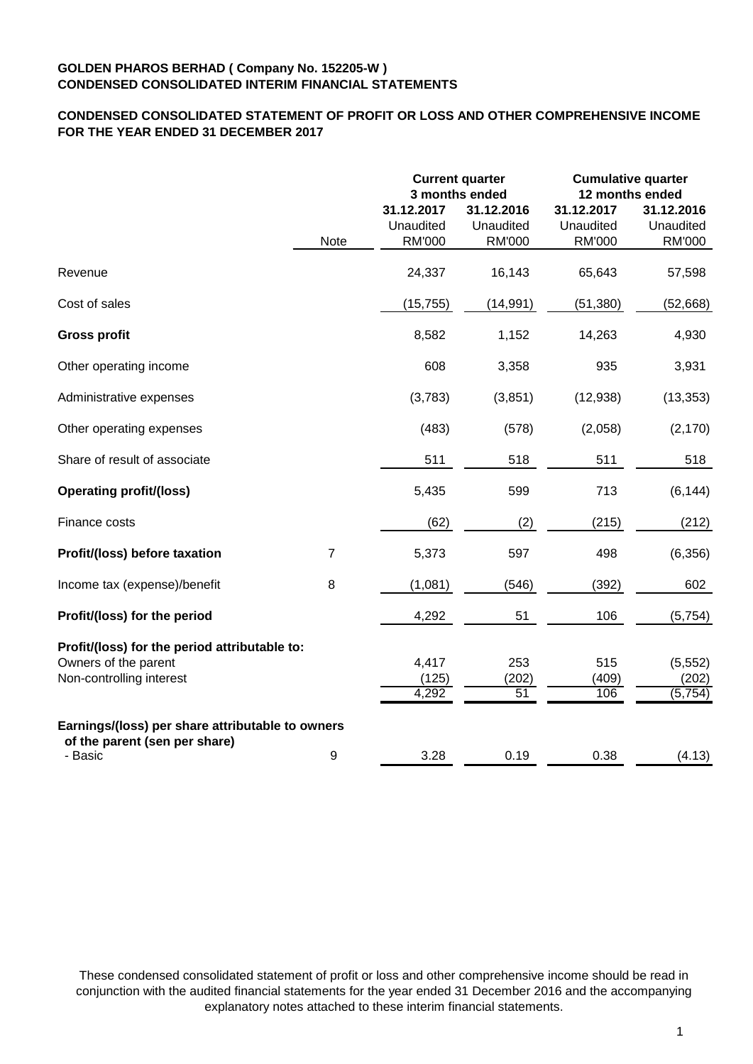# **CONDENSED CONSOLIDATED STATEMENT OF PROFIT OR LOSS AND OTHER COMPREHENSIVE INCOME FOR THE YEAR ENDED 31 DECEMBER 2017**

|                                                  |                |                                                 | <b>Current quarter</b><br>3 months ended | <b>Cumulative quarter</b><br>12 months ended |                                          |  |
|--------------------------------------------------|----------------|-------------------------------------------------|------------------------------------------|----------------------------------------------|------------------------------------------|--|
|                                                  | <b>Note</b>    | 31.12.2017<br><b>Unaudited</b><br><b>RM'000</b> | 31.12.2016<br>Unaudited<br><b>RM'000</b> | 31.12.2017<br>Unaudited<br><b>RM'000</b>     | 31.12.2016<br>Unaudited<br><b>RM'000</b> |  |
| Revenue                                          |                | 24,337                                          | 16,143                                   | 65,643                                       | 57,598                                   |  |
| Cost of sales                                    |                | (15, 755)                                       | (14, 991)                                | (51, 380)                                    | (52,668)                                 |  |
| <b>Gross profit</b>                              |                | 8,582                                           | 1,152                                    | 14,263                                       | 4,930                                    |  |
| Other operating income                           |                | 608                                             | 3,358                                    | 935                                          | 3,931                                    |  |
| Administrative expenses                          |                | (3,783)                                         | (3,851)                                  | (12, 938)                                    | (13, 353)                                |  |
| Other operating expenses                         |                | (483)                                           | (578)                                    | (2,058)                                      | (2, 170)                                 |  |
| Share of result of associate                     |                | 511                                             | 518                                      | 511                                          | 518                                      |  |
| <b>Operating profit/(loss)</b>                   |                | 5,435                                           | 599                                      | 713                                          | (6, 144)                                 |  |
| Finance costs                                    |                | (62)                                            | (2)                                      | (215)                                        | (212)                                    |  |
| Profit/(loss) before taxation                    | $\overline{7}$ | 5,373                                           | 597                                      | 498                                          | (6, 356)                                 |  |
| Income tax (expense)/benefit                     | 8              | (1,081)                                         | (546)                                    | (392)                                        | 602                                      |  |
| Profit/(loss) for the period                     |                | 4,292                                           | 51                                       | 106                                          | (5,754)                                  |  |
| Profit/(loss) for the period attributable to:    |                |                                                 |                                          |                                              |                                          |  |
| Owners of the parent<br>Non-controlling interest |                | 4,417<br>(125)                                  | 253<br>(202)                             | 515<br>(409)                                 | (5, 552)<br>(202)                        |  |
|                                                  |                | 4,292                                           | 51                                       | 106                                          | (5, 754)                                 |  |
| Earnings/(loss) per share attributable to owners |                |                                                 |                                          |                                              |                                          |  |
| of the parent (sen per share)<br>- Basic         | 9              | 3.28                                            | 0.19                                     | 0.38                                         | (4.13)                                   |  |

These condensed consolidated statement of profit or loss and other comprehensive income should be read in conjunction with the audited financial statements for the year ended 31 December 2016 and the accompanying explanatory notes attached to these interim financial statements.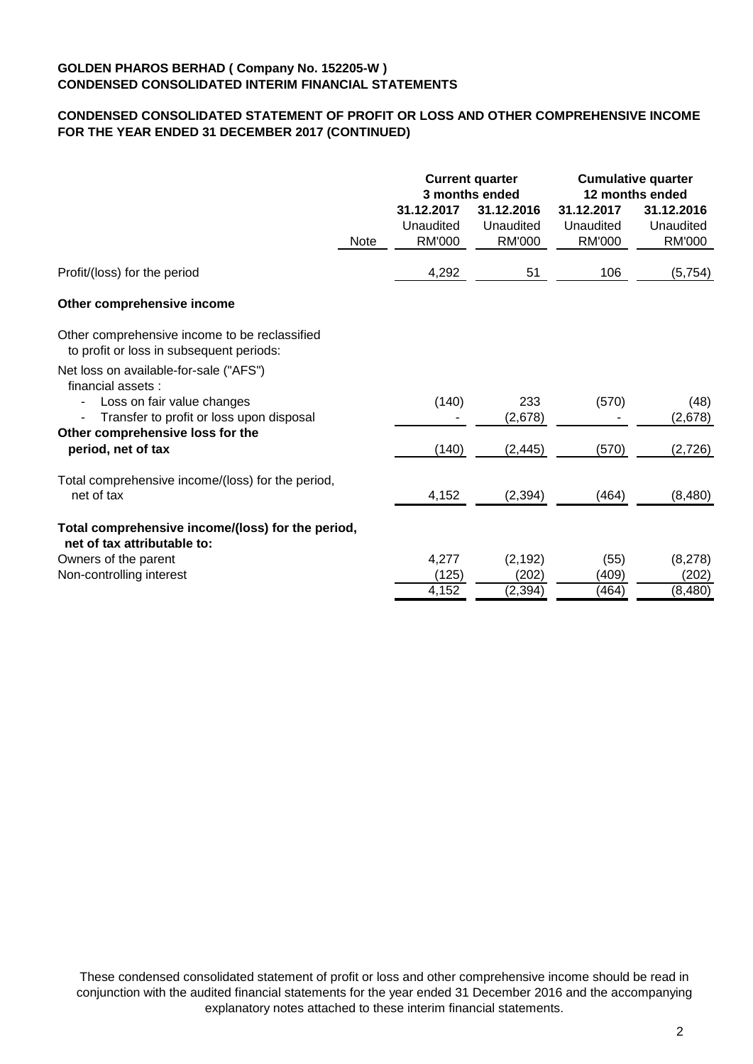# **CONDENSED CONSOLIDATED STATEMENT OF PROFIT OR LOSS AND OTHER COMPREHENSIVE INCOME FOR THE YEAR ENDED 31 DECEMBER 2017 (CONTINUED)**

|                                                                                                                                        |             | <b>Current quarter</b><br>3 months ended |                                          | <b>Cumulative quarter</b><br>12 months ended |                                          |
|----------------------------------------------------------------------------------------------------------------------------------------|-------------|------------------------------------------|------------------------------------------|----------------------------------------------|------------------------------------------|
|                                                                                                                                        | <b>Note</b> | 31.12.2017<br>Unaudited<br><b>RM'000</b> | 31.12.2016<br>Unaudited<br><b>RM'000</b> | 31.12.2017<br>Unaudited<br><b>RM'000</b>     | 31.12.2016<br>Unaudited<br><b>RM'000</b> |
| Profit/(loss) for the period                                                                                                           |             | 4,292                                    | 51                                       | 106                                          | (5, 754)                                 |
| Other comprehensive income                                                                                                             |             |                                          |                                          |                                              |                                          |
| Other comprehensive income to be reclassified<br>to profit or loss in subsequent periods:                                              |             |                                          |                                          |                                              |                                          |
| Net loss on available-for-sale ("AFS")<br>financial assets :<br>Loss on fair value changes<br>Transfer to profit or loss upon disposal |             | (140)                                    | 233<br>(2,678)                           | (570)                                        | (48)<br>(2,678)                          |
| Other comprehensive loss for the<br>period, net of tax                                                                                 |             | (140)                                    | (2, 445)                                 | (570)                                        | (2,726)                                  |
| Total comprehensive income/(loss) for the period,<br>net of tax                                                                        |             | 4,152                                    | (2, 394)                                 | (464)                                        | (8,480)                                  |
| Total comprehensive income/(loss) for the period,<br>net of tax attributable to:                                                       |             |                                          |                                          |                                              |                                          |
| Owners of the parent<br>Non-controlling interest                                                                                       |             | 4,277<br>(125)<br>4,152                  | (2, 192)<br>(202)<br>(2, 394)            | (55)<br>(409)<br>(464)                       | (8,278)<br>(202)<br>(8,480)              |

These condensed consolidated statement of profit or loss and other comprehensive income should be read in conjunction with the audited financial statements for the year ended 31 December 2016 and the accompanying explanatory notes attached to these interim financial statements.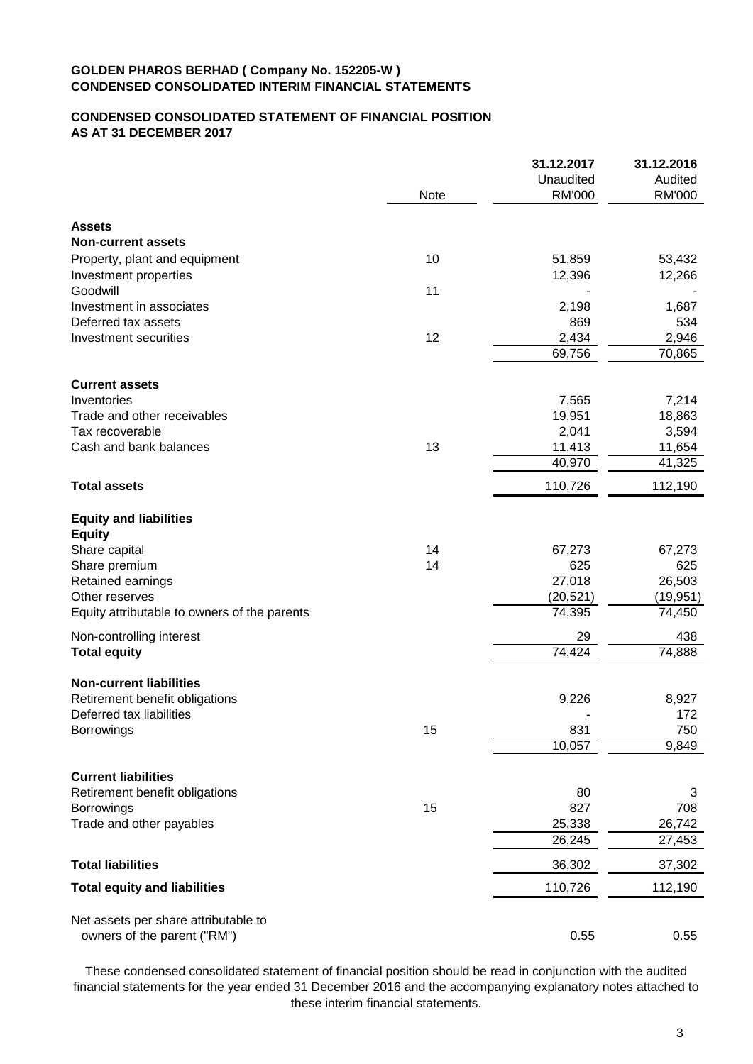# **CONDENSED CONSOLIDATED STATEMENT OF FINANCIAL POSITION AS AT 31 DECEMBER 2017**

|                                              |      | 31.12.2017    | 31.12.2016 |
|----------------------------------------------|------|---------------|------------|
|                                              |      | Unaudited     | Audited    |
|                                              | Note | <b>RM'000</b> | RM'000     |
| <b>Assets</b>                                |      |               |            |
| <b>Non-current assets</b>                    |      |               |            |
| Property, plant and equipment                | 10   | 51,859        | 53,432     |
| Investment properties                        |      | 12,396        | 12,266     |
| Goodwill                                     | 11   |               |            |
| Investment in associates                     |      | 2,198         | 1,687      |
| Deferred tax assets                          |      | 869           | 534        |
| Investment securities                        | 12   | 2,434         | 2,946      |
|                                              |      | 69,756        | 70,865     |
| <b>Current assets</b>                        |      |               |            |
| Inventories                                  |      | 7,565         | 7,214      |
| Trade and other receivables                  |      | 19,951        | 18,863     |
| Tax recoverable                              |      | 2,041         | 3,594      |
| Cash and bank balances                       | 13   | 11,413        | 11,654     |
|                                              |      | 40,970        | 41,325     |
| <b>Total assets</b>                          |      | 110,726       | 112,190    |
| <b>Equity and liabilities</b>                |      |               |            |
| <b>Equity</b>                                |      |               |            |
| Share capital                                | 14   | 67,273        | 67,273     |
| Share premium                                | 14   | 625           | 625        |
| Retained earnings                            |      | 27,018        | 26,503     |
| Other reserves                               |      | (20, 521)     | (19, 951)  |
| Equity attributable to owners of the parents |      | 74,395        | 74,450     |
| Non-controlling interest                     |      | 29            | 438        |
| <b>Total equity</b>                          |      | 74,424        | 74,888     |
| <b>Non-current liabilities</b>               |      |               |            |
| Retirement benefit obligations               |      | 9,226         | 8,927      |
| Deferred tax liabilities                     |      |               | 172        |
| <b>Borrowings</b>                            | 15   | 831           | 750        |
|                                              |      | 10,057        | 9,849      |
| <b>Current liabilities</b>                   |      |               |            |
| Retirement benefit obligations               |      | 80            | 3          |
| Borrowings                                   | 15   | 827           | 708        |
| Trade and other payables                     |      | 25,338        | 26,742     |
|                                              |      | 26,245        | 27,453     |
| <b>Total liabilities</b>                     |      | 36,302        | 37,302     |
| <b>Total equity and liabilities</b>          |      | 110,726       | 112,190    |
|                                              |      |               |            |
| Net assets per share attributable to         |      |               |            |
| owners of the parent ("RM")                  |      | 0.55          | 0.55       |

These condensed consolidated statement of financial position should be read in conjunction with the audited financial statements for the year ended 31 December 2016 and the accompanying explanatory notes attached to these interim financial statements.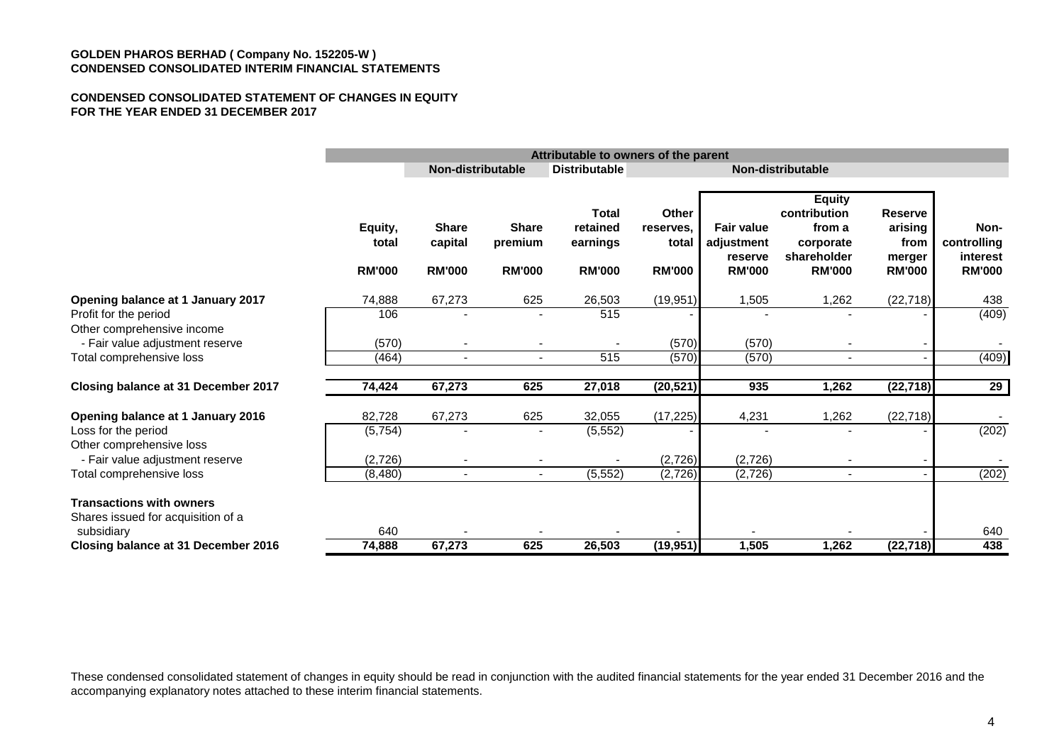#### **CONDENSED CONSOLIDATED STATEMENT OF CHANGES IN EQUITY FOR THE YEAR ENDED 31 DECEMBER 2017**

|                                                                                                                                                     |                                         | Attributable to owners of the parent     |                                          |                                                       |                                              |                                                             |                                                                                      |                                                              |                                                  |
|-----------------------------------------------------------------------------------------------------------------------------------------------------|-----------------------------------------|------------------------------------------|------------------------------------------|-------------------------------------------------------|----------------------------------------------|-------------------------------------------------------------|--------------------------------------------------------------------------------------|--------------------------------------------------------------|--------------------------------------------------|
|                                                                                                                                                     |                                         | Non-distributable                        |                                          | <b>Distributable</b>                                  |                                              |                                                             | Non-distributable                                                                    |                                                              |                                                  |
|                                                                                                                                                     | Equity,<br>total<br><b>RM'000</b>       | <b>Share</b><br>capital<br><b>RM'000</b> | <b>Share</b><br>premium<br><b>RM'000</b> | <b>Total</b><br>retained<br>earnings<br><b>RM'000</b> | Other<br>reserves.<br>total<br><b>RM'000</b> | <b>Fair value</b><br>adjustment<br>reserve<br><b>RM'000</b> | <b>Equity</b><br>contribution<br>from a<br>corporate<br>shareholder<br><b>RM'000</b> | <b>Reserve</b><br>arising<br>from<br>merger<br><b>RM'000</b> | Non-<br>controlling<br>interest<br><b>RM'000</b> |
| Opening balance at 1 January 2017<br>Profit for the period<br>Other comprehensive income                                                            | 74,888<br>106                           | 67,273                                   | 625                                      | 26,503<br>515                                         | (19, 951)                                    | 1,505                                                       | 1,262                                                                                | (22, 718)                                                    | 438<br>(409)                                     |
| - Fair value adjustment reserve<br>Total comprehensive loss                                                                                         | (570)<br>(464)                          | $\blacksquare$                           | $\blacksquare$                           | 515                                                   | (570)<br>(570)                               | (570)<br>(570)                                              | $\overline{\phantom{a}}$                                                             |                                                              | (409)                                            |
| Closing balance at 31 December 2017                                                                                                                 | 74,424                                  | 67,273                                   | 625                                      | 27,018                                                | (20, 521)                                    | 935                                                         | 1,262                                                                                | (22, 718)                                                    | $\overline{29}$                                  |
| Opening balance at 1 January 2016<br>Loss for the period<br>Other comprehensive loss<br>- Fair value adjustment reserve<br>Total comprehensive loss | 82,728<br>(5,754)<br>(2,726)<br>(8,480) | 67,273<br>$\blacksquare$                 | 625<br>$\blacksquare$                    | 32,055<br>(5, 552)<br>(5, 552)                        | (17, 225)<br>(2,726)<br>(2, 726)             | 4,231<br>(2,726)<br>(2,726)                                 | 1,262<br>$\blacksquare$                                                              | (22, 718)                                                    | (202)<br>(202)                                   |
| <b>Transactions with owners</b><br>Shares issued for acquisition of a<br>subsidiary<br>Closing balance at 31 December 2016                          | 640<br>74,888                           | 67,273                                   | 625                                      | 26,503                                                | (19, 951)                                    | 1,505                                                       | 1,262                                                                                | (22, 718)                                                    | 640<br>438                                       |

These condensed consolidated statement of changes in equity should be read in conjunction with the audited financial statements for the year ended 31 December 2016 and the accompanying explanatory notes attached to these interim financial statements.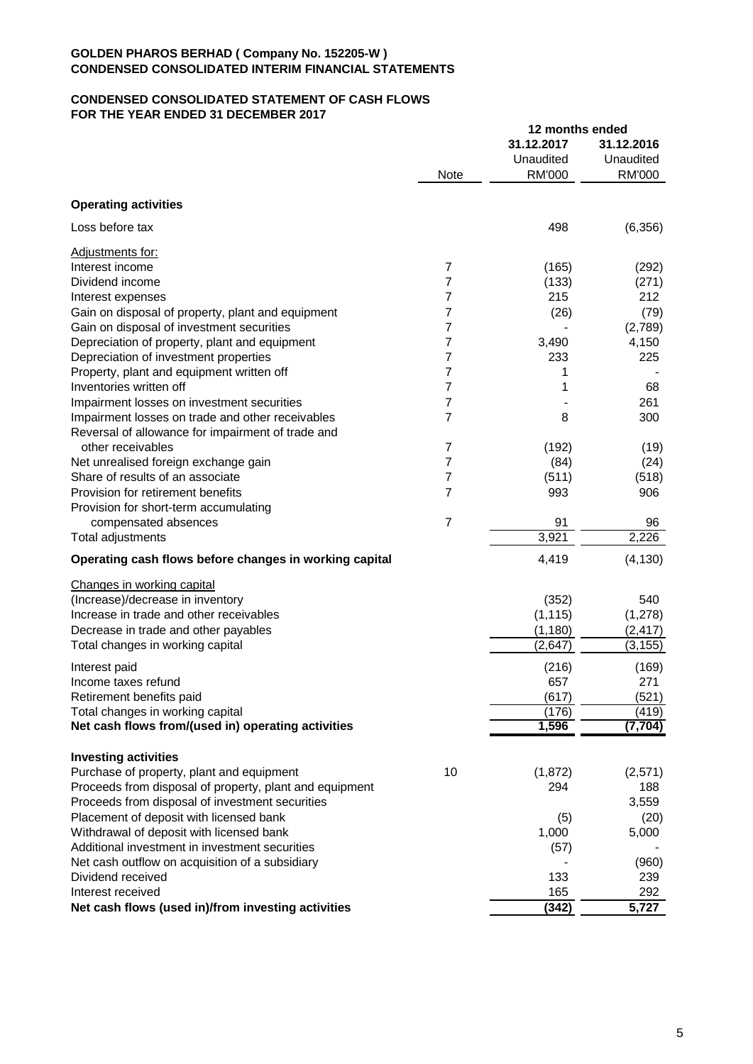## **CONDENSED CONSOLIDATED STATEMENT OF CASH FLOWS FOR THE YEAR ENDED 31 DECEMBER 2017**

|                                                         |                | 12 months ended |               |
|---------------------------------------------------------|----------------|-----------------|---------------|
|                                                         |                | 31.12.2017      | 31.12.2016    |
|                                                         |                | Unaudited       | Unaudited     |
|                                                         | <b>Note</b>    | <b>RM'000</b>   | <b>RM'000</b> |
| <b>Operating activities</b>                             |                |                 |               |
| Loss before tax                                         |                | 498             | (6, 356)      |
| Adjustments for:                                        |                |                 |               |
| Interest income                                         | 7              | (165)           | (292)         |
| Dividend income                                         | 7              | (133)           | (271)         |
| Interest expenses                                       | 7              | 215             | 212           |
| Gain on disposal of property, plant and equipment       | 7              | (26)            | (79)          |
| Gain on disposal of investment securities               | 7              |                 | (2,789)       |
| Depreciation of property, plant and equipment           | 7              | 3,490           | 4,150         |
| Depreciation of investment properties                   | 7              | 233             | 225           |
| Property, plant and equipment written off               | 7              | 1               |               |
| Inventories written off                                 | 7              | 1               | 68            |
| Impairment losses on investment securities              | 7              |                 | 261           |
| Impairment losses on trade and other receivables        | 7              | 8               | 300           |
| Reversal of allowance for impairment of trade and       |                |                 |               |
| other receivables                                       | 7              | (192)           | (19)          |
| Net unrealised foreign exchange gain                    | 7              | (84)            | (24)          |
| Share of results of an associate                        | 7              | (511)           | (518)         |
| Provision for retirement benefits                       | 7              | 993             | 906           |
| Provision for short-term accumulating                   |                |                 |               |
| compensated absences                                    | $\overline{7}$ | 91              | 96            |
| Total adjustments                                       |                | 3,921           | 2,226         |
| Operating cash flows before changes in working capital  |                | 4,419           | (4, 130)      |
| Changes in working capital                              |                |                 |               |
| (Increase)/decrease in inventory                        |                | (352)           | 540           |
| Increase in trade and other receivables                 |                | (1, 115)        | (1,278)       |
| Decrease in trade and other payables                    |                | (1, 180)        | (2, 417)      |
| Total changes in working capital                        |                | (2,647)         | (3, 155)      |
| Interest paid                                           |                | (216)           | (169)         |
| Income taxes refund                                     |                | 657             | 271           |
| Retirement benefits paid                                |                | (617)           | (521)         |
| Total changes in working capital                        |                | (176)           | (419)         |
| Net cash flows from/(used in) operating activities      |                | 1,596           | (7, 704)      |
|                                                         |                |                 |               |
| <b>Investing activities</b>                             |                |                 |               |
| Purchase of property, plant and equipment               | 10             | (1, 872)        | (2,571)       |
| Proceeds from disposal of property, plant and equipment |                | 294             | 188           |
| Proceeds from disposal of investment securities         |                |                 | 3,559         |
| Placement of deposit with licensed bank                 |                | (5)             | (20)          |
| Withdrawal of deposit with licensed bank                |                | 1,000           | 5,000         |
| Additional investment in investment securities          |                | (57)            |               |
| Net cash outflow on acquisition of a subsidiary         |                |                 | (960)         |
| Dividend received                                       |                | 133             | 239           |
| Interest received                                       |                | 165             | 292           |
| Net cash flows (used in)/from investing activities      |                | (342)           | 5,727         |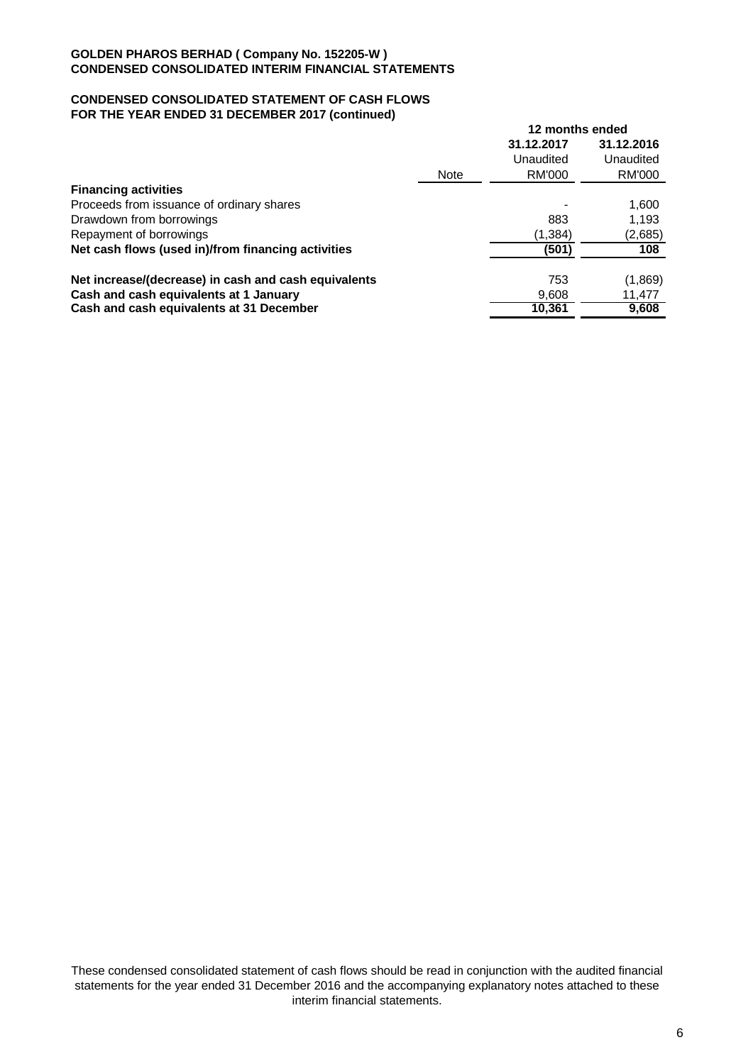## **CONDENSED CONSOLIDATED STATEMENT OF CASH FLOWS FOR THE YEAR ENDED 31 DECEMBER 2017 (continued)**

|                                                      |             | 12 months ended |            |  |
|------------------------------------------------------|-------------|-----------------|------------|--|
|                                                      |             | 31.12.2017      | 31.12.2016 |  |
|                                                      |             | Unaudited       | Unaudited  |  |
|                                                      | <b>Note</b> | RM'000          | RM'000     |  |
| <b>Financing activities</b>                          |             |                 |            |  |
| Proceeds from issuance of ordinary shares            |             |                 | 1,600      |  |
| Drawdown from borrowings                             |             | 883             | 1,193      |  |
| Repayment of borrowings                              |             | (1, 384)        | (2,685)    |  |
| Net cash flows (used in)/from financing activities   |             | (501)           | 108        |  |
| Net increase/(decrease) in cash and cash equivalents |             | 753             | (1,869)    |  |
| Cash and cash equivalents at 1 January               |             | 9,608           | 11,477     |  |
| Cash and cash equivalents at 31 December             |             | 10,361          | 9,608      |  |

These condensed consolidated statement of cash flows should be read in conjunction with the audited financial statements for the year ended 31 December 2016 and the accompanying explanatory notes attached to these interim financial statements.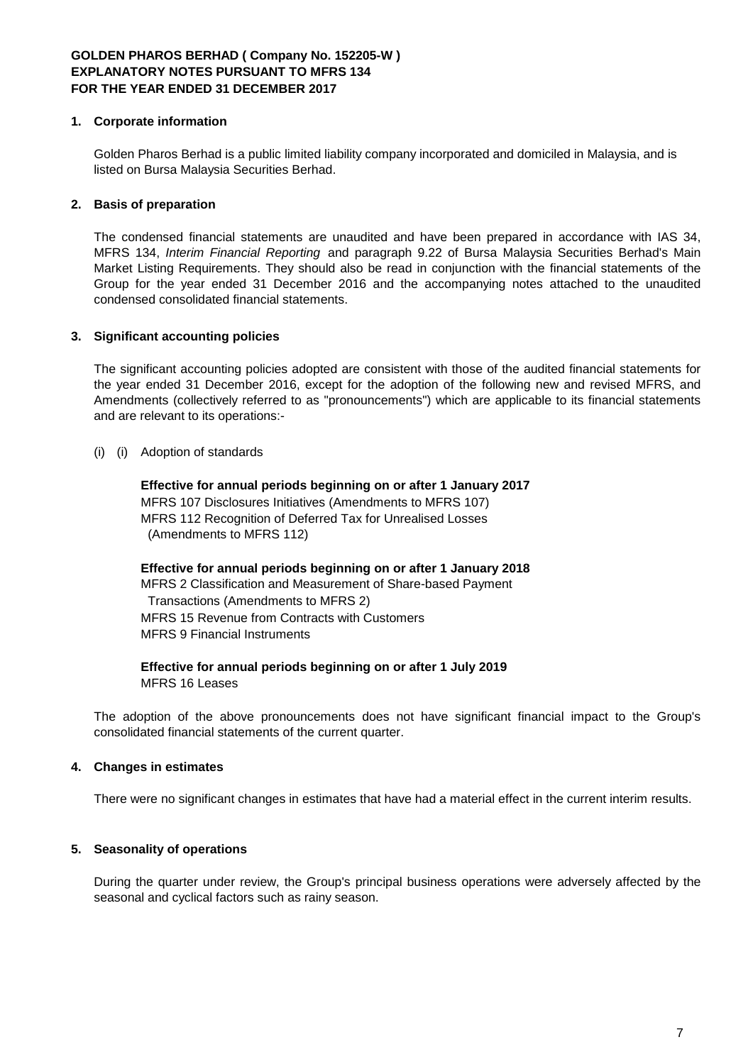## **1. Corporate information**

Golden Pharos Berhad is a public limited liability company incorporated and domiciled in Malaysia, and is listed on Bursa Malaysia Securities Berhad.

# **2. Basis of preparation**

The condensed financial statements are unaudited and have been prepared in accordance with IAS 34, MFRS 134, *Interim Financial Reporting* and paragraph 9.22 of Bursa Malaysia Securities Berhad's Main Market Listing Requirements. They should also be read in conjunction with the financial statements of the Group for the year ended 31 December 2016 and the accompanying notes attached to the unaudited condensed consolidated financial statements.

# **3. Significant accounting policies**

The significant accounting policies adopted are consistent with those of the audited financial statements for the year ended 31 December 2016, except for the adoption of the following new and revised MFRS, and Amendments (collectively referred to as "pronouncements") which are applicable to its financial statements and are relevant to its operations:-

## (i) (i) Adoption of standards

**Effective for annual periods beginning on or after 1 January 2017** MFRS 107 Disclosures Initiatives (Amendments to MFRS 107) MFRS 112 Recognition of Deferred Tax for Unrealised Losses (Amendments to MFRS 112)

**Effective for annual periods beginning on or after 1 January 2018** MFRS 2 Classification and Measurement of Share-based Payment Transactions (Amendments to MFRS 2) MFRS 15 Revenue from Contracts with Customers MFRS 9 Financial Instruments

**Effective for annual periods beginning on or after 1 July 2019** MFRS 16 Leases

The adoption of the above pronouncements does not have significant financial impact to the Group's consolidated financial statements of the current quarter.

# **4. Changes in estimates**

There were no significant changes in estimates that have had a material effect in the current interim results.

## **5. Seasonality of operations**

During the quarter under review, the Group's principal business operations were adversely affected by the seasonal and cyclical factors such as rainy season.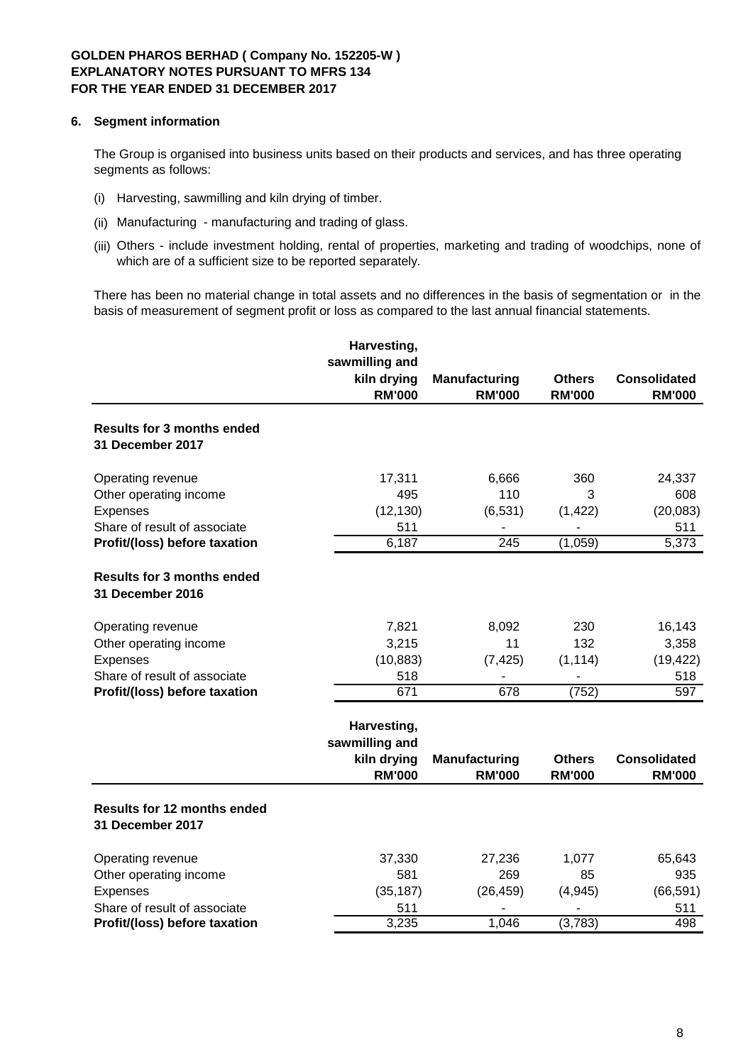## **6. Segment information**

The Group is organised into business units based on their products and services, and has three operating segments as follows:

- (i) Harvesting, sawmilling and kiln drying of timber.
- (ii) Manufacturing manufacturing and trading of glass.
- (iii) Others include investment holding, rental of properties, marketing and trading of woodchips, none of which are of a sufficient size to be reported separately.

There has been no material change in total assets and no differences in the basis of segmentation or in the basis of measurement of segment profit or loss as compared to the last annual financial statements.

|                                                        | Harvesting,<br>sawmilling and                                 |                                       |                                |                                      |
|--------------------------------------------------------|---------------------------------------------------------------|---------------------------------------|--------------------------------|--------------------------------------|
|                                                        | kiln drying<br><b>RM'000</b>                                  | <b>Manufacturing</b><br><b>RM'000</b> | <b>Others</b><br><b>RM'000</b> | <b>Consolidated</b><br><b>RM'000</b> |
| <b>Results for 3 months ended</b><br>31 December 2017  |                                                               |                                       |                                |                                      |
| Operating revenue                                      | 17,311                                                        | 6,666                                 | 360                            | 24,337                               |
| Other operating income                                 | 495                                                           | 110                                   | 3                              | 608                                  |
| Expenses                                               | (12, 130)                                                     | (6, 531)                              | (1, 422)                       | (20, 083)                            |
| Share of result of associate                           | 511                                                           |                                       |                                | 511                                  |
| Profit/(loss) before taxation                          | 6,187                                                         | $\overline{245}$                      | (1,059)                        | 5,373                                |
| <b>Results for 3 months ended</b><br>31 December 2016  |                                                               |                                       |                                |                                      |
| Operating revenue                                      | 7,821                                                         | 8,092                                 | 230                            | 16,143                               |
| Other operating income                                 | 3,215                                                         | 11                                    | 132                            | 3,358                                |
| Expenses                                               | (10, 883)                                                     | (7, 425)                              | (1, 114)                       | (19, 422)                            |
| Share of result of associate                           | 518                                                           |                                       |                                | 518                                  |
| Profit/(loss) before taxation                          | 671                                                           | $\overline{678}$                      | (752)                          | 597                                  |
|                                                        | Harvesting,<br>sawmilling and<br>kiln drying<br><b>RM'000</b> | <b>Manufacturing</b><br><b>RM'000</b> | <b>Others</b><br><b>RM'000</b> | <b>Consolidated</b><br><b>RM'000</b> |
| <b>Results for 12 months ended</b><br>31 December 2017 |                                                               |                                       |                                |                                      |
| Operating revenue                                      | 37,330                                                        | 27,236                                | 1,077                          | 65,643                               |
| Other operating income                                 | 581                                                           | 269                                   | 85                             | 935                                  |
| Expenses                                               | (35, 187)                                                     | (26, 459)                             | (4, 945)                       | (66, 591)                            |
| Share of result of associate                           | 511                                                           |                                       |                                | 511                                  |
| Profit/(loss) before taxation                          | 3,235                                                         | 1,046                                 | (3,783)                        | 498                                  |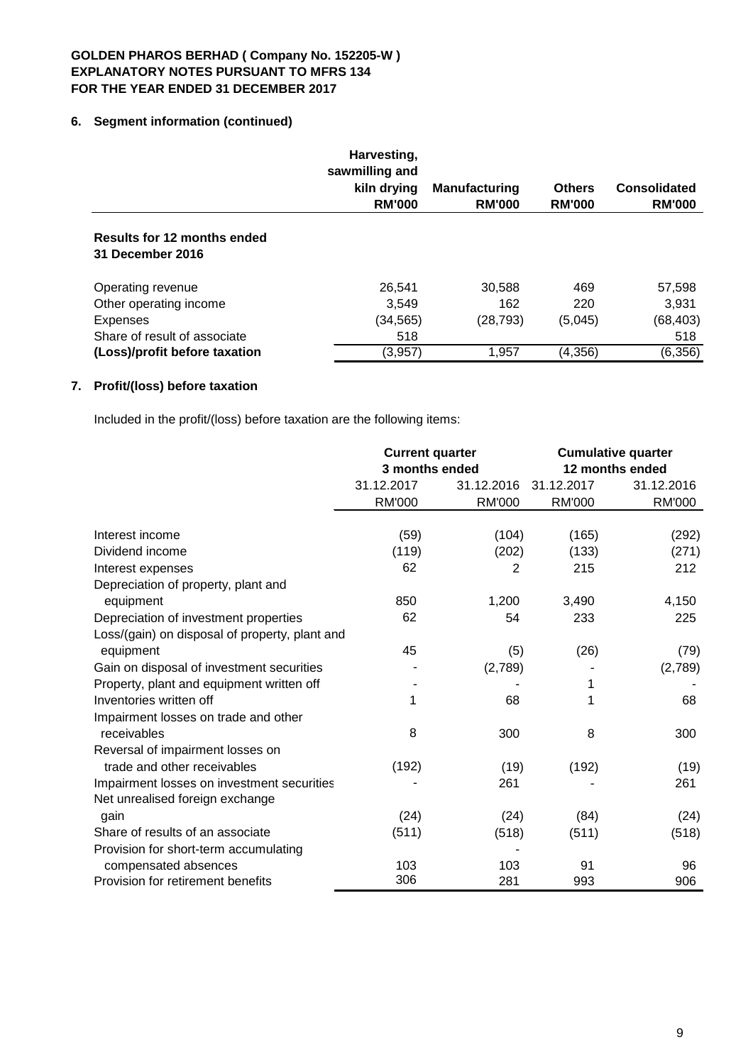# **6. Segment information (continued)**

|                                                        | Harvesting,<br>sawmilling and<br>kiln drying<br><b>RM'000</b> | <b>Manufacturing</b><br><b>RM'000</b> | <b>Others</b><br><b>RM'000</b> | <b>Consolidated</b><br><b>RM'000</b> |
|--------------------------------------------------------|---------------------------------------------------------------|---------------------------------------|--------------------------------|--------------------------------------|
| <b>Results for 12 months ended</b><br>31 December 2016 |                                                               |                                       |                                |                                      |
| Operating revenue                                      | 26,541                                                        | 30,588                                | 469                            | 57,598                               |
| Other operating income                                 | 3,549                                                         | 162                                   | 220                            | 3,931                                |
| <b>Expenses</b>                                        | (34, 565)                                                     | (28, 793)                             | (5,045)                        | (68, 403)                            |
| Share of result of associate                           | 518                                                           |                                       |                                | 518                                  |
| (Loss)/profit before taxation                          | (3,957)                                                       | 1,957                                 | (4, 356)                       | (6, 356)                             |

# **7. Profit/(loss) before taxation**

Included in the profit/(loss) before taxation are the following items:

|                                                | <b>Current quarter</b> |            | <b>Cumulative quarter</b> |                 |  |
|------------------------------------------------|------------------------|------------|---------------------------|-----------------|--|
|                                                | 3 months ended         |            |                           | 12 months ended |  |
|                                                | 31.12.2017             | 31.12.2016 | 31.12.2017                | 31.12.2016      |  |
|                                                | <b>RM'000</b>          | RM'000     | <b>RM'000</b>             | <b>RM'000</b>   |  |
| Interest income                                | (59)                   | (104)      | (165)                     | (292)           |  |
| Dividend income                                | (119)                  | (202)      | (133)                     | (271)           |  |
| Interest expenses                              | 62                     | 2          | 215                       | 212             |  |
| Depreciation of property, plant and            |                        |            |                           |                 |  |
| equipment                                      | 850                    | 1,200      | 3,490                     | 4,150           |  |
| Depreciation of investment properties          | 62                     | 54         | 233                       | 225             |  |
| Loss/(gain) on disposal of property, plant and |                        |            |                           |                 |  |
| equipment                                      | 45                     | (5)        | (26)                      | (79)            |  |
| Gain on disposal of investment securities      |                        | (2,789)    |                           | (2,789)         |  |
| Property, plant and equipment written off      |                        |            |                           |                 |  |
| Inventories written off                        | 1                      | 68         | 1                         | 68              |  |
| Impairment losses on trade and other           |                        |            |                           |                 |  |
| receivables                                    | 8                      | 300        | 8                         | 300             |  |
| Reversal of impairment losses on               |                        |            |                           |                 |  |
| trade and other receivables                    | (192)                  | (19)       | (192)                     | (19)            |  |
| Impairment losses on investment securities     |                        | 261        |                           | 261             |  |
| Net unrealised foreign exchange                |                        |            |                           |                 |  |
| gain                                           | (24)                   | (24)       | (84)                      | (24)            |  |
| Share of results of an associate               | (511)                  | (518)      | (511)                     | (518)           |  |
| Provision for short-term accumulating          |                        |            |                           |                 |  |
| compensated absences                           | 103                    | 103        | 91                        | 96              |  |
| Provision for retirement benefits              | 306                    | 281        | 993                       | 906             |  |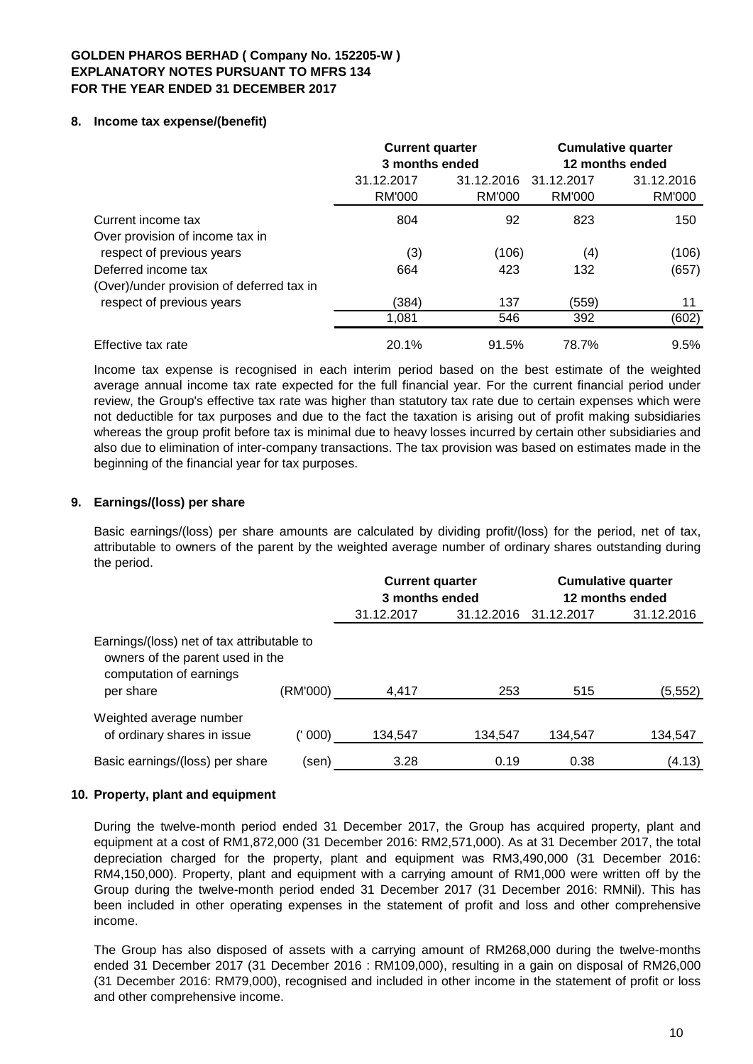# **8. Income tax expense/(benefit)**

|                                           | <b>Current quarter</b><br>3 months ended |        | <b>Cumulative quarter</b><br>12 months ended |            |  |
|-------------------------------------------|------------------------------------------|--------|----------------------------------------------|------------|--|
|                                           | 31.12.2016<br>31.12.2017                 |        | 31.12.2017                                   | 31.12.2016 |  |
|                                           | RM'000                                   | RM'000 | RM'000                                       | RM'000     |  |
| Current income tax                        | 804                                      | 92     | 823                                          | 150        |  |
| Over provision of income tax in           |                                          |        |                                              |            |  |
| respect of previous years                 | (3)                                      | (106)  | (4)                                          | (106)      |  |
| Deferred income tax                       | 664                                      | 423    | 132                                          | (657)      |  |
| (Over)/under provision of deferred tax in |                                          |        |                                              |            |  |
| respect of previous years                 | (384)                                    | 137    | (559)                                        | 11         |  |
|                                           | 1,081                                    | 546    | 392                                          | (602)      |  |
| Effective tax rate                        | 20.1%                                    | 91.5%  | 78.7%                                        | 9.5%       |  |

Income tax expense is recognised in each interim period based on the best estimate of the weighted average annual income tax rate expected for the full financial year. For the current financial period under review, the Group's effective tax rate was higher than statutory tax rate due to certain expenses which were not deductible for tax purposes and due to the fact the taxation is arising out of profit making subsidiaries whereas the group profit before tax is minimal due to heavy losses incurred by certain other subsidiaries and also due to elimination of inter-company transactions. The tax provision was based on estimates made in the beginning of the financial year for tax purposes.

# **9. Earnings/(loss) per share**

Basic earnings/(loss) per share amounts are calculated by dividing profit/(loss) for the period, net of tax, attributable to owners of the parent by the weighted average number of ordinary shares outstanding during the period.

|                                                                                                                                    |         | <b>Current quarter</b><br>3 months ended |                       | <b>Cumulative quarter</b><br>12 months ended |            |  |
|------------------------------------------------------------------------------------------------------------------------------------|---------|------------------------------------------|-----------------------|----------------------------------------------|------------|--|
|                                                                                                                                    |         | 31.12.2017                               | 31.12.2016 31.12.2017 |                                              | 31.12.2016 |  |
| Earnings/(loss) net of tax attributable to<br>owners of the parent used in the<br>computation of earnings<br>(RM'000)<br>per share |         | 4,417                                    | 253                   | 515                                          | (5,552)    |  |
| Weighted average number<br>of ordinary shares in issue                                                                             | (' 000) | 134,547                                  | 134,547               | 134,547                                      | 134,547    |  |
| Basic earnings/(loss) per share                                                                                                    | (sen)   | 3.28                                     | 0.19                  | 0.38                                         | (4.13)     |  |

# **10. Property, plant and equipment**

During the twelve-month period ended 31 December 2017, the Group has acquired property, plant and equipment at a cost of RM1,872,000 (31 December 2016: RM2,571,000). As at 31 December 2017, the total depreciation charged for the property, plant and equipment was RM3,490,000 (31 December 2016: RM4,150,000). Property, plant and equipment with a carrying amount of RM1,000 were written off by the Group during the twelve-month period ended 31 December 2017 (31 December 2016: RMNil). This has been included in other operating expenses in the statement of profit and loss and other comprehensive income.

The Group has also disposed of assets with a carrying amount of RM268,000 during the twelve-months ended 31 December 2017 (31 December 2016 : RM109,000), resulting in a gain on disposal of RM26,000 (31 December 2016: RM79,000), recognised and included in other income in the statement of profit or loss and other comprehensive income.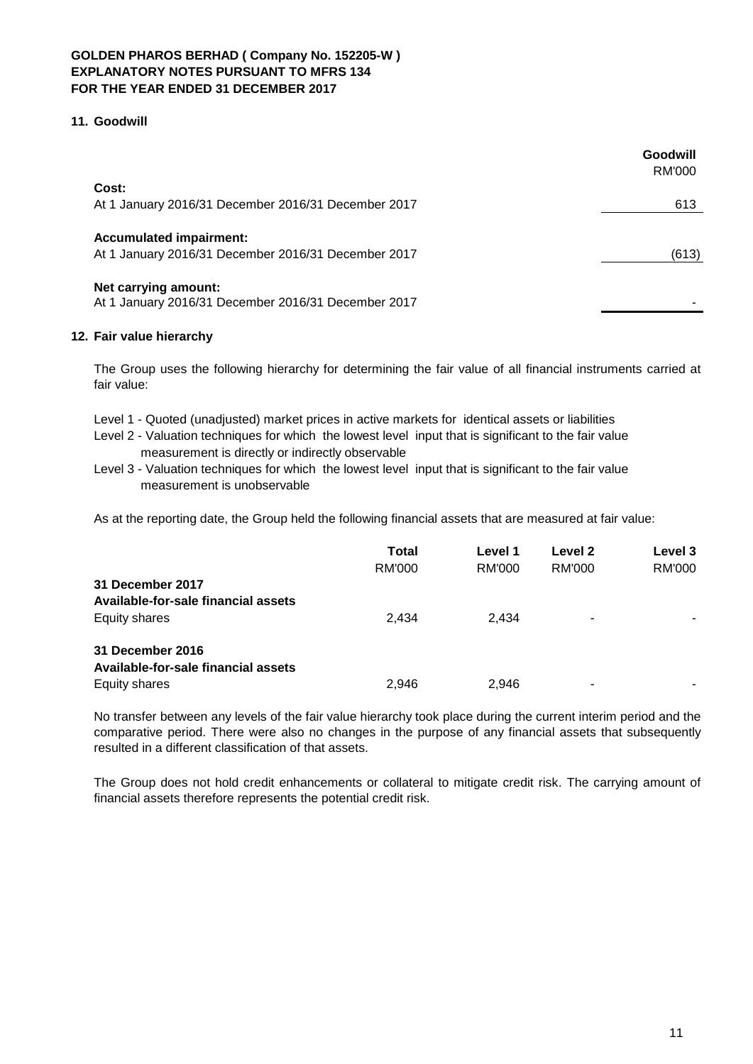# **11. Goodwill**

|                                                                                       | Goodwill<br>RM'000 |
|---------------------------------------------------------------------------------------|--------------------|
| Cost:<br>At 1 January 2016/31 December 2016/31 December 2017                          | 613                |
| <b>Accumulated impairment:</b><br>At 1 January 2016/31 December 2016/31 December 2017 | (613)              |
| Net carrying amount:<br>At 1 January 2016/31 December 2016/31 December 2017           |                    |

# **12. Fair value hierarchy**

The Group uses the following hierarchy for determining the fair value of all financial instruments carried at fair value:

- Level 1 Quoted (unadjusted) market prices in active markets for identical assets or liabilities
- Level 2 Valuation techniques for which the lowest level input that is significant to the fair value measurement is directly or indirectly observable
- Level 3 Valuation techniques for which the lowest level input that is significant to the fair value measurement is unobservable

As at the reporting date, the Group held the following financial assets that are measured at fair value:

|                                                         | <b>Total</b><br>RM'000 | Level 1<br>RM'000 | Level 2<br>RM'000        | Level 3<br>RM'000 |
|---------------------------------------------------------|------------------------|-------------------|--------------------------|-------------------|
| 31 December 2017<br>Available-for-sale financial assets |                        |                   |                          |                   |
|                                                         |                        |                   |                          |                   |
| Equity shares                                           | 2.434                  | 2.434             | $\overline{\phantom{0}}$ |                   |
| 31 December 2016                                        |                        |                   |                          |                   |
| Available-for-sale financial assets                     |                        |                   |                          |                   |
| Equity shares                                           | 2,946                  | 2.946             | $\overline{\phantom{0}}$ |                   |

No transfer between any levels of the fair value hierarchy took place during the current interim period and the comparative period. There were also no changes in the purpose of any financial assets that subsequently resulted in a different classification of that assets.

The Group does not hold credit enhancements or collateral to mitigate credit risk. The carrying amount of financial assets therefore represents the potential credit risk.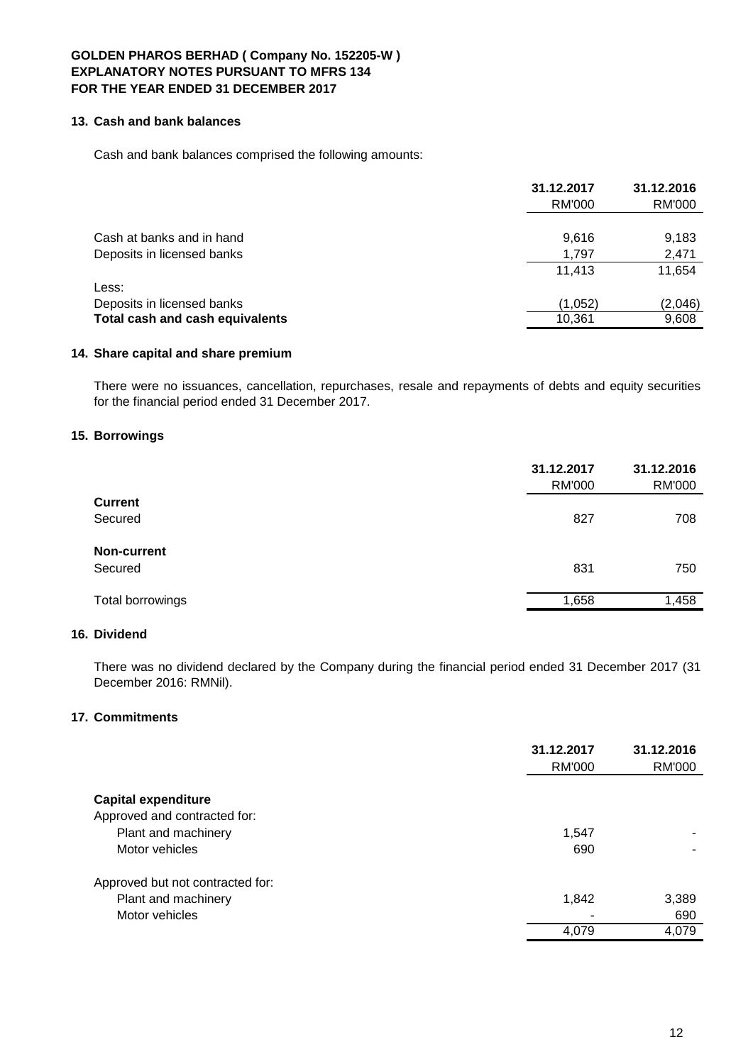### **13. Cash and bank balances**

Cash and bank balances comprised the following amounts:

|                                 | 31.12.2017 | 31.12.2016    |
|---------------------------------|------------|---------------|
|                                 | RM'000     | <b>RM'000</b> |
| Cash at banks and in hand       | 9,616      | 9,183         |
| Deposits in licensed banks      | 1.797      | 2,471         |
|                                 | 11.413     | 11,654        |
| Less:                           |            |               |
| Deposits in licensed banks      | (1,052)    | (2,046)       |
| Total cash and cash equivalents | 10.361     | 9,608         |

# **14. Share capital and share premium**

There were no issuances, cancellation, repurchases, resale and repayments of debts and equity securities for the financial period ended 31 December 2017.

## **15. Borrowings**

|                  | 31.12.2017<br><b>RM'000</b> | 31.12.2016<br>RM'000 |
|------------------|-----------------------------|----------------------|
| <b>Current</b>   |                             |                      |
| Secured          | 827                         | 708                  |
| Non-current      |                             |                      |
| Secured          | 831                         | 750                  |
| Total borrowings | 1,658                       | 1,458                |

# **16. Dividend**

There was no dividend declared by the Company during the financial period ended 31 December 2017 (31 December 2016: RMNil).

# **17. Commitments**

|                                  | 31.12.2017<br>RM'000 | 31.12.2016<br>RM'000 |
|----------------------------------|----------------------|----------------------|
| <b>Capital expenditure</b>       |                      |                      |
| Approved and contracted for:     |                      |                      |
| Plant and machinery              | 1,547                |                      |
| Motor vehicles                   | 690                  |                      |
| Approved but not contracted for: |                      |                      |
| Plant and machinery              | 1,842                | 3,389                |
| Motor vehicles                   |                      | 690                  |
|                                  | 4,079                | 4,079                |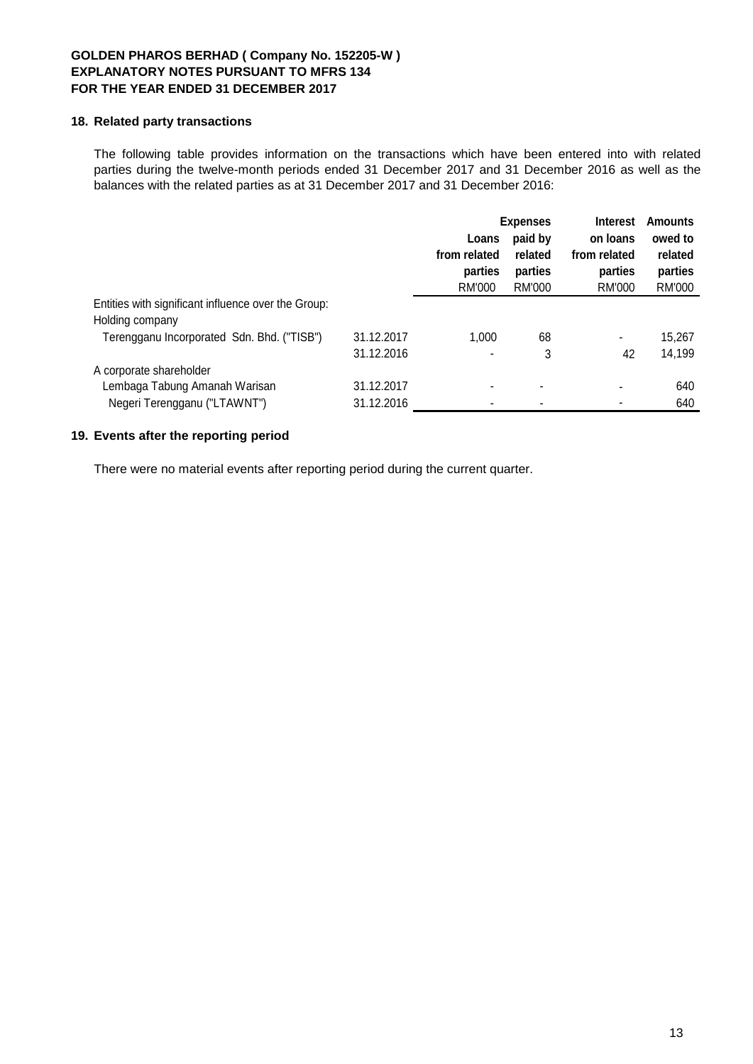### **18. Related party transactions**

The following table provides information on the transactions which have been entered into with related parties during the twelve-month periods ended 31 December 2017 and 31 December 2016 as well as the balances with the related parties as at 31 December 2017 and 31 December 2016:

|                                                     |            | <b>Expenses</b> |         | <b>Interest</b> | <b>Amounts</b> |
|-----------------------------------------------------|------------|-----------------|---------|-----------------|----------------|
|                                                     |            | Loans           | paid by | on loans        | owed to        |
|                                                     |            | from related    | related | from related    | related        |
|                                                     |            | parties         | parties | parties         | parties        |
|                                                     |            | RM'000          | RM'000  | RM'000          | RM'000         |
| Entities with significant influence over the Group: |            |                 |         |                 |                |
| Holding company                                     |            |                 |         |                 |                |
| Terengganu Incorporated Sdn. Bhd. ("TISB")          | 31.12.2017 | 1.000           | 68      | ۰               | 15,267         |
|                                                     | 31.12.2016 |                 | 3       | 42              | 14,199         |
| A corporate shareholder                             |            |                 |         |                 |                |
| Lembaga Tabung Amanah Warisan                       | 31.12.2017 |                 | ٠       |                 | 640            |
| Negeri Terengganu ("LTAWNT")                        | 31.12.2016 |                 |         |                 | 640            |

# **19. Events after the reporting period**

There were no material events after reporting period during the current quarter.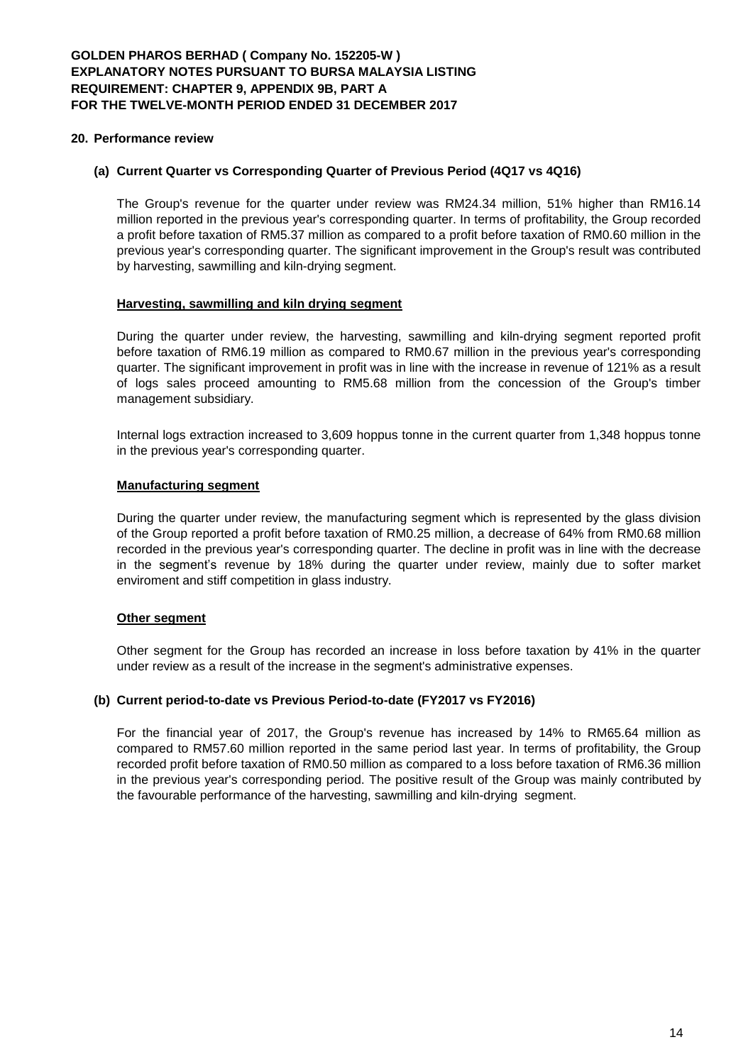### **20. Performance review**

### **(a) Current Quarter vs Corresponding Quarter of Previous Period (4Q17 vs 4Q16)**

The Group's revenue for the quarter under review was RM24.34 million, 51% higher than RM16.14 million reported in the previous year's corresponding quarter. In terms of profitability, the Group recorded a profit before taxation of RM5.37 million as compared to a profit before taxation of RM0.60 million in the previous year's corresponding quarter. The significant improvement in the Group's result was contributed by harvesting, sawmilling and kiln-drying segment.

#### **Harvesting, sawmilling and kiln drying segment**

During the quarter under review, the harvesting, sawmilling and kiln-drying segment reported profit before taxation of RM6.19 million as compared to RM0.67 million in the previous year's corresponding quarter. The significant improvement in profit was in line with the increase in revenue of 121% as a result of logs sales proceed amounting to RM5.68 million from the concession of the Group's timber management subsidiary.

Internal logs extraction increased to 3,609 hoppus tonne in the current quarter from 1,348 hoppus tonne in the previous year's corresponding quarter.

#### **Manufacturing segment**

During the quarter under review, the manufacturing segment which is represented by the glass division of the Group reported a profit before taxation of RM0.25 million, a decrease of 64% from RM0.68 million recorded in the previous year's corresponding quarter. The decline in profit was in line with the decrease in the segment's revenue by 18% during the quarter under review, mainly due to softer market enviroment and stiff competition in glass industry.

## **Other segment**

Other segment for the Group has recorded an increase in loss before taxation by 41% in the quarter under review as a result of the increase in the segment's administrative expenses.

#### **(b) Current period-to-date vs Previous Period-to-date (FY2017 vs FY2016)**

For the financial year of 2017, the Group's revenue has increased by 14% to RM65.64 million as compared to RM57.60 million reported in the same period last year. In terms of profitability, the Group recorded profit before taxation of RM0.50 million as compared to a loss before taxation of RM6.36 million in the previous year's corresponding period. The positive result of the Group was mainly contributed by the favourable performance of the harvesting, sawmilling and kiln-drying segment.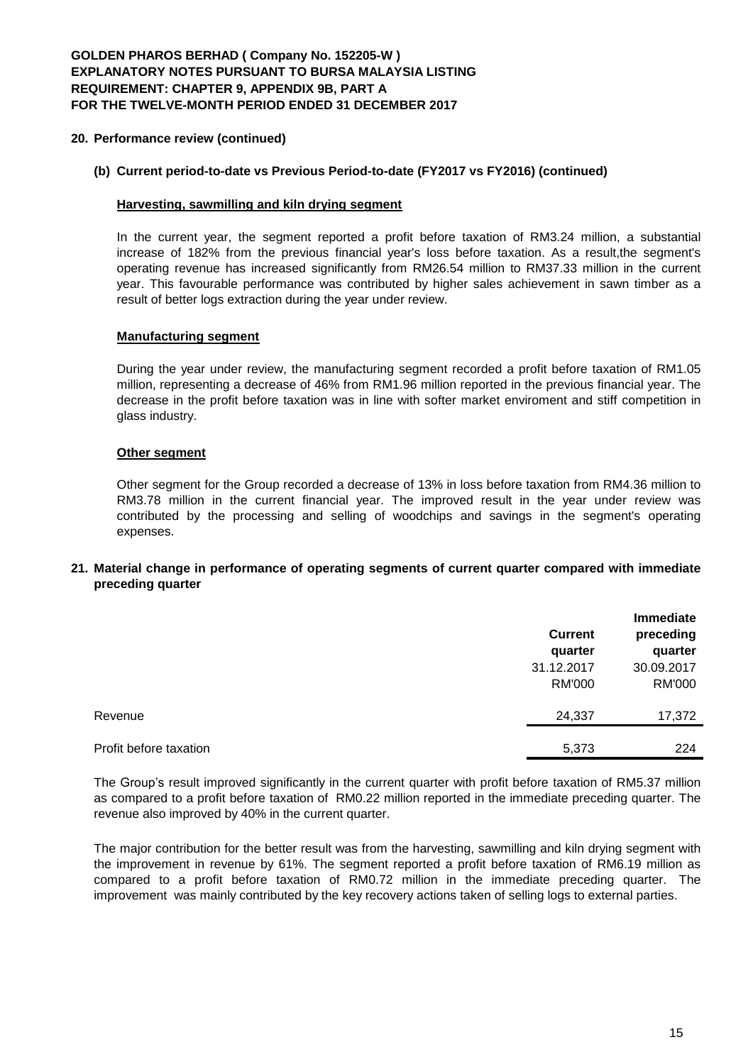## **20. Performance review (continued)**

# **(b) Current period-to-date vs Previous Period-to-date (FY2017 vs FY2016) (continued)**

### **Harvesting, sawmilling and kiln drying segment**

In the current year, the segment reported a profit before taxation of RM3.24 million, a substantial increase of 182% from the previous financial year's loss before taxation. As a result,the segment's operating revenue has increased significantly from RM26.54 million to RM37.33 million in the current year. This favourable performance was contributed by higher sales achievement in sawn timber as a result of better logs extraction during the year under review.

## **Manufacturing segment**

During the year under review, the manufacturing segment recorded a profit before taxation of RM1.05 million, representing a decrease of 46% from RM1.96 million reported in the previous financial year. The decrease in the profit before taxation was in line with softer market enviroment and stiff competition in glass industry.

## **Other segment**

Other segment for the Group recorded a decrease of 13% in loss before taxation from RM4.36 million to RM3.78 million in the current financial year. The improved result in the year under review was contributed by the processing and selling of woodchips and savings in the segment's operating expenses.

## **21. Material change in performance of operating segments of current quarter compared with immediate preceding quarter**

|                        | <b>Current</b><br>quarter   | Immediate<br>preceding<br>quarter |
|------------------------|-----------------------------|-----------------------------------|
|                        | 31.12.2017<br><b>RM'000</b> | 30.09.2017<br>RM'000              |
| Revenue                | 24,337                      | 17,372                            |
| Profit before taxation | 5,373                       | 224                               |

The Group's result improved significantly in the current quarter with profit before taxation of RM5.37 million as compared to a profit before taxation of RM0.22 million reported in the immediate preceding quarter. The revenue also improved by 40% in the current quarter.

The major contribution for the better result was from the harvesting, sawmilling and kiln drying segment with the improvement in revenue by 61%. The segment reported a profit before taxation of RM6.19 million as compared to a profit before taxation of RM0.72 million in the immediate preceding quarter. The improvement was mainly contributed by the key recovery actions taken of selling logs to external parties.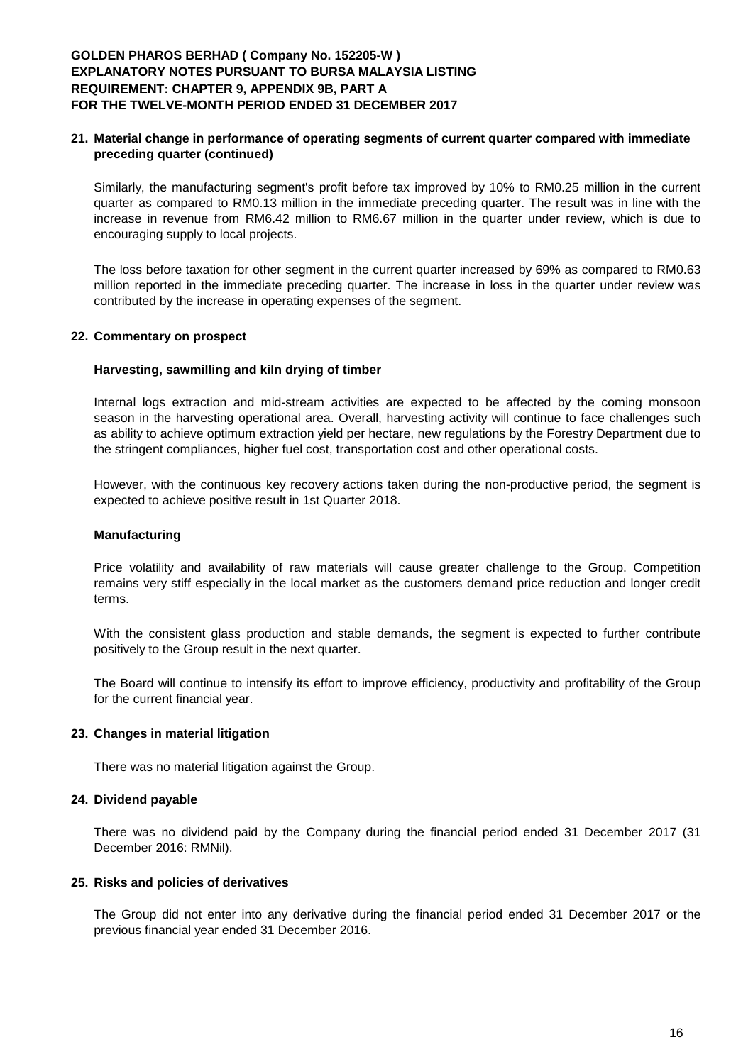# **21. Material change in performance of operating segments of current quarter compared with immediate preceding quarter (continued)**

Similarly, the manufacturing segment's profit before tax improved by 10% to RM0.25 million in the current quarter as compared to RM0.13 million in the immediate preceding quarter. The result was in line with the increase in revenue from RM6.42 million to RM6.67 million in the quarter under review, which is due to encouraging supply to local projects.

The loss before taxation for other segment in the current quarter increased by 69% as compared to RM0.63 million reported in the immediate preceding quarter. The increase in loss in the quarter under review was contributed by the increase in operating expenses of the segment.

## **22. Commentary on prospect**

## **Harvesting, sawmilling and kiln drying of timber**

Internal logs extraction and mid-stream activities are expected to be affected by the coming monsoon season in the harvesting operational area. Overall, harvesting activity will continue to face challenges such as ability to achieve optimum extraction yield per hectare, new regulations by the Forestry Department due to the stringent compliances, higher fuel cost, transportation cost and other operational costs.

However, with the continuous key recovery actions taken during the non-productive period, the segment is expected to achieve positive result in 1st Quarter 2018.

#### **Manufacturing**

Price volatility and availability of raw materials will cause greater challenge to the Group. Competition remains very stiff especially in the local market as the customers demand price reduction and longer credit terms.

With the consistent glass production and stable demands, the segment is expected to further contribute positively to the Group result in the next quarter.

The Board will continue to intensify its effort to improve efficiency, productivity and profitability of the Group for the current financial year.

#### **23. Changes in material litigation**

There was no material litigation against the Group.

#### **24. Dividend payable**

There was no dividend paid by the Company during the financial period ended 31 December 2017 (31 December 2016: RMNil).

#### **25. Risks and policies of derivatives**

The Group did not enter into any derivative during the financial period ended 31 December 2017 or the previous financial year ended 31 December 2016.